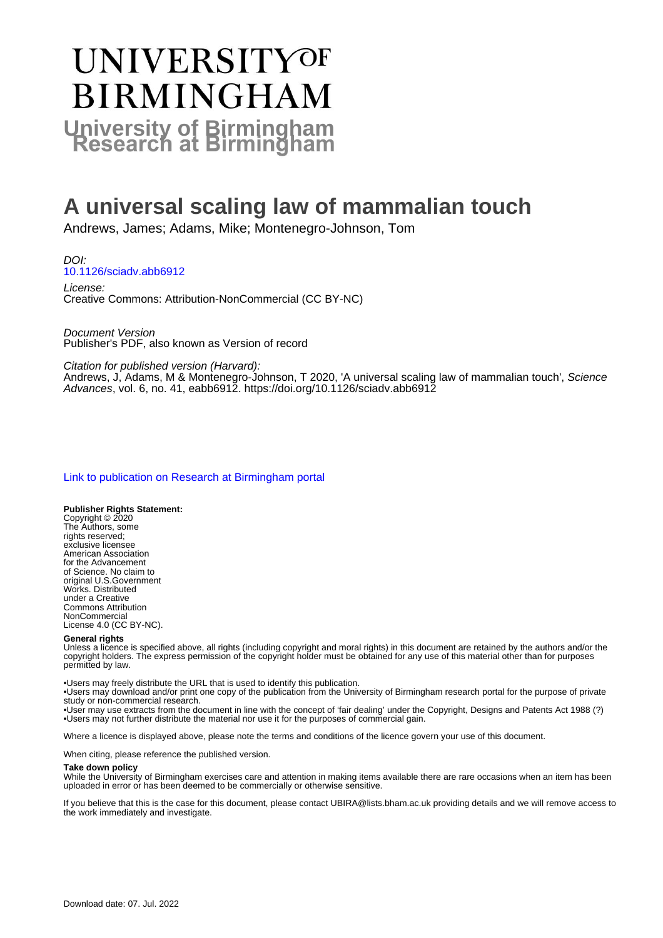# UNIVERSITYOF **BIRMINGHAM University of Birmingham**

## **A universal scaling law of mammalian touch**

Andrews, James; Adams, Mike; Montenegro-Johnson, Tom

DOI: [10.1126/sciadv.abb6912](https://doi.org/10.1126/sciadv.abb6912)

License: Creative Commons: Attribution-NonCommercial (CC BY-NC)

Document Version Publisher's PDF, also known as Version of record

Citation for published version (Harvard):

Andrews, J, Adams, M & Montenegro-Johnson, T 2020, 'A universal scaling law of mammalian touch', Science Advances, vol. 6, no. 41, eabb6912.<https://doi.org/10.1126/sciadv.abb6912>

#### [Link to publication on Research at Birmingham portal](https://birmingham.elsevierpure.com/en/publications/837a7a44-01b6-4ab9-95bc-9b72de7ca37e)

#### **Publisher Rights Statement:**

Copyright © 2020 The Authors, some rights reserved; exclusive licensee American Association for the Advancement of Science. No claim to original U.S.Government Works. Distributed under a Creative Commons Attribution **NonCommercial** License 4.0 (CC BY-NC).

#### **General rights**

Unless a licence is specified above, all rights (including copyright and moral rights) in this document are retained by the authors and/or the copyright holders. The express permission of the copyright holder must be obtained for any use of this material other than for purposes permitted by law.

• Users may freely distribute the URL that is used to identify this publication.

• Users may download and/or print one copy of the publication from the University of Birmingham research portal for the purpose of private study or non-commercial research.

• User may use extracts from the document in line with the concept of 'fair dealing' under the Copyright, Designs and Patents Act 1988 (?) • Users may not further distribute the material nor use it for the purposes of commercial gain.

Where a licence is displayed above, please note the terms and conditions of the licence govern your use of this document.

When citing, please reference the published version.

#### **Take down policy**

While the University of Birmingham exercises care and attention in making items available there are rare occasions when an item has been uploaded in error or has been deemed to be commercially or otherwise sensitive.

If you believe that this is the case for this document, please contact UBIRA@lists.bham.ac.uk providing details and we will remove access to the work immediately and investigate.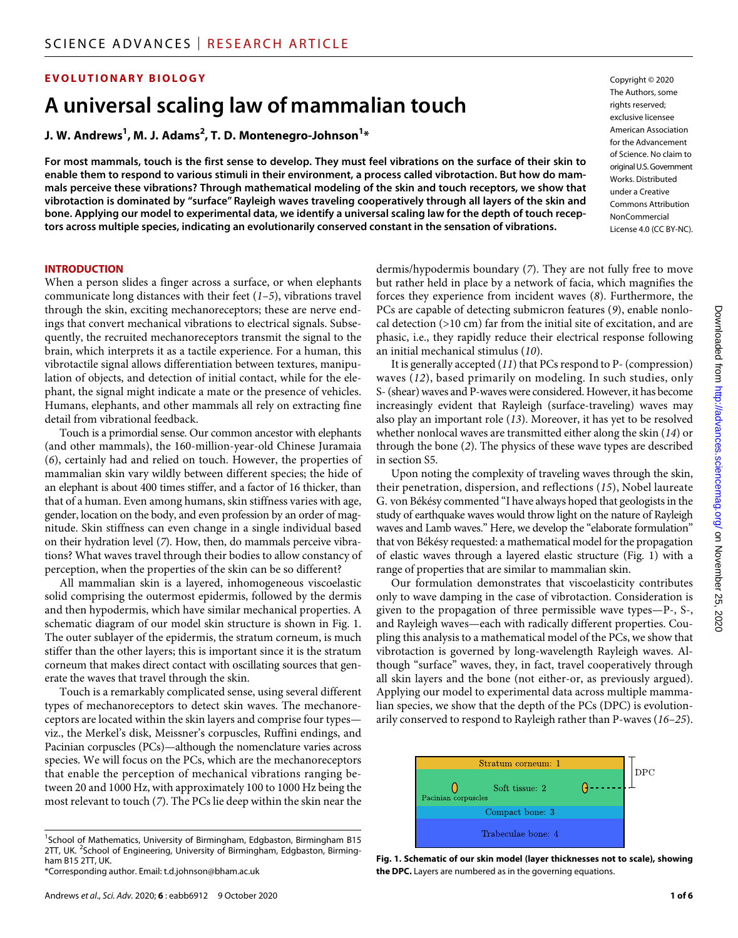#### **EVOLUTIONARY BIOLOGY**

### **A universal scaling law of mammalian touch**

#### **J. W. Andrews1 , M. J. Adams2 , T. D. Montenegro-Johnson1 \***

**For most mammals, touch is the first sense to develop. They must feel vibrations on the surface of their skin to enable them to respond to various stimuli in their environment, a process called vibrotaction. But how do mammals perceive these vibrations? Through mathematical modeling of the skin and touch receptors, we show that vibrotaction is dominated by "surface" Rayleigh waves traveling cooperatively through all layers of the skin and bone. Applying our model to experimental data, we identify a universal scaling law for the depth of touch receptors across multiple species, indicating an evolutionarily conserved constant in the sensation of vibrations.**

#### **INTRODUCTION**

When a person slides a finger across a surface, or when elephants communicate long distances with their feet (*1*–*5*), vibrations travel through the skin, exciting mechanoreceptors; these are nerve endings that convert mechanical vibrations to electrical signals. Subsequently, the recruited mechanoreceptors transmit the signal to the brain, which interprets it as a tactile experience. For a human, this vibrotactile signal allows differentiation between textures, manipulation of objects, and detection of initial contact, while for the elephant, the signal might indicate a mate or the presence of vehicles. Humans, elephants, and other mammals all rely on extracting fine detail from vibrational feedback.

Touch is a primordial sense. Our common ancestor with elephants (and other mammals), the 160-million-year-old Chinese Juramaia (*6*), certainly had and relied on touch. However, the properties of mammalian skin vary wildly between different species; the hide of an elephant is about 400 times stiffer, and a factor of 16 thicker, than that of a human. Even among humans, skin stiffness varies with age, gender, location on the body, and even profession by an order of magnitude. Skin stiffness can even change in a single individual based on their hydration level (*7*). How, then, do mammals perceive vibrations? What waves travel through their bodies to allow constancy of perception, when the properties of the skin can be so different?

All mammalian skin is a layered, inhomogeneous viscoelastic solid comprising the outermost epidermis, followed by the dermis and then hypodermis, which have similar mechanical properties. A schematic diagram of our model skin structure is shown in Fig. 1. The outer sublayer of the epidermis, the stratum corneum, is much stiffer than the other layers; this is important since it is the stratum corneum that makes direct contact with oscillating sources that generate the waves that travel through the skin.

Touch is a remarkably complicated sense, using several different types of mechanoreceptors to detect skin waves. The mechanoreceptors are located within the skin layers and comprise four types viz., the Merkel's disk, Meissner's corpuscles, Ruffini endings, and Pacinian corpuscles (PCs)—although the nomenclature varies across species. We will focus on the PCs, which are the mechanoreceptors that enable the perception of mechanical vibrations ranging between 20 and 1000 Hz, with approximately 100 to 1000 Hz being the most relevant to touch (*7*). The PCs lie deep within the skin near the

<sup>1</sup>School of Mathematics, University of Birmingham, Edgbaston, Birmingham B15 2TT, UK. <sup>2</sup>School of Engineering, University of Birmingham, Edgbaston, Birmingham B15 2TT, UK.

dermis/hypodermis boundary (*7*). They are not fully free to move but rather held in place by a network of facia, which magnifies the forces they experience from incident waves (*8*). Furthermore, the PCs are capable of detecting submicron features (*9*), enable nonlocal detection (>10 cm) far from the initial site of excitation, and are phasic, i.e., they rapidly reduce their electrical response following an initial mechanical stimulus (*10*).

It is generally accepted (*11*) that PCs respond to P- (compression) waves (*12*), based primarily on modeling. In such studies, only S- (shear) waves and P-waves were considered. However, it has become increasingly evident that Rayleigh (surface-traveling) waves may also play an important role (*13*). Moreover, it has yet to be resolved whether nonlocal waves are transmitted either along the skin (*14*) or through the bone (*2*). The physics of these wave types are described in section S5.

Upon noting the complexity of traveling waves through the skin, their penetration, dispersion, and reflections (*15*), Nobel laureate G. von Békésy commented "I have always hoped that geologists in the study of earthquake waves would throw light on the nature of Rayleigh waves and Lamb waves." Here, we develop the "elaborate formulation" that von Békésy requested: a mathematical model for the propagation of elastic waves through a layered elastic structure (Fig. 1) with a range of properties that are similar to mammalian skin.

Our formulation demonstrates that viscoelasticity contributes only to wave damping in the case of vibrotaction. Consideration is given to the propagation of three permissible wave types—P-, S-, and Rayleigh waves—each with radically different properties. Coupling this analysis to a mathematical model of the PCs, we show that vibrotaction is governed by long-wavelength Rayleigh waves. Although "surface" waves, they, in fact, travel cooperatively through all skin layers and the bone (not either-or, as previously argued). Applying our model to experimental data across multiple mammalian species, we show that the depth of the PCs (DPC) is evolutionarily conserved to respond to Rayleigh rather than P-waves (*16*–*25*).



**Fig. 1. Schematic of our skin model (layer thicknesses not to scale), showing the DPC.** Layers are numbered as in the governing equations.

Copyright © 2020 The Authors, some rights reserved: exclusive licensee American Association for the Advancement of Science. No claim to original U.S.Government Works. Distributed under a Creative Commons Attribution **NonCommercial** License 4.0 (CC BY-NC).

<sup>\*</sup>Corresponding author. Email: t.d.johnson@bham.ac.uk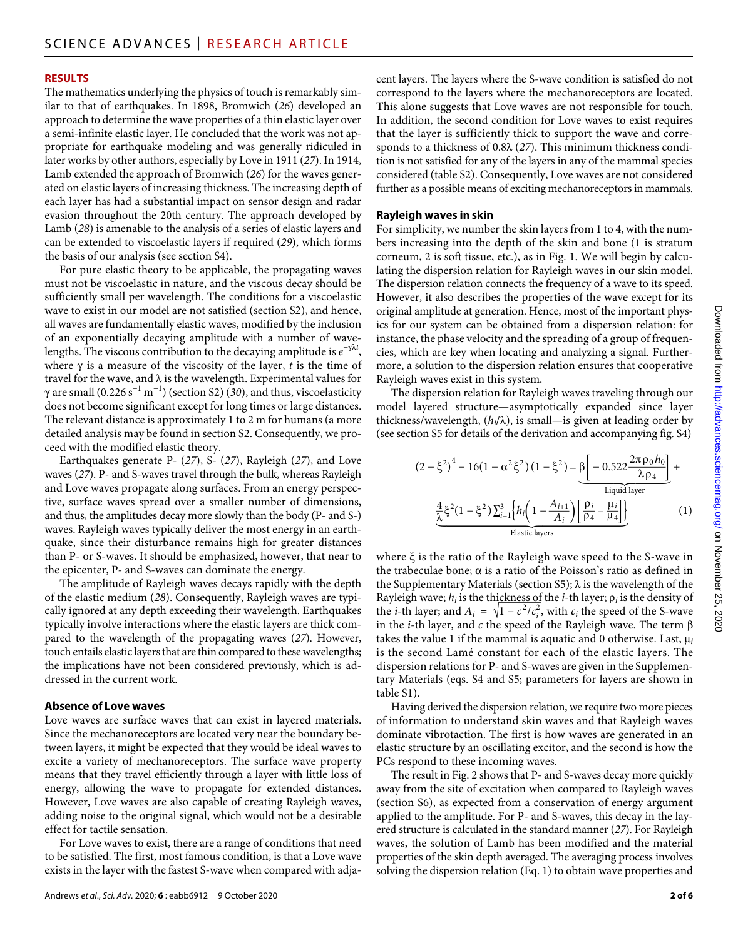#### **RESULTS**

The mathematics underlying the physics of touch is remarkably similar to that of earthquakes. In 1898, Bromwich (*26*) developed an approach to determine the wave properties of a thin elastic layer over a semi-infinite elastic layer. He concluded that the work was not appropriate for earthquake modeling and was generally ridiculed in later works by other authors, especially by Love in 1911 (*27*). In 1914, Lamb extended the approach of Bromwich (*26*) for the waves generated on elastic layers of increasing thickness. The increasing depth of each layer has had a substantial impact on sensor design and radar evasion throughout the 20th century. The approach developed by Lamb (*28*) is amenable to the analysis of a series of elastic layers and can be extended to viscoelastic layers if required (*29*), which forms the basis of our analysis (see section S4).

For pure elastic theory to be applicable, the propagating waves must not be viscoelastic in nature, and the viscous decay should be sufficiently small per wavelength. The conditions for a viscoelastic wave to exist in our model are not satisfied (section S2), and hence, all waves are fundamentally elastic waves, modified by the inclusion of an exponentially decaying amplitude with a number of wavelengths. The viscous contribution to the decaying amplitude is  $e^{-\gamma \lambda t}$ , where  $\gamma$  is a measure of the viscosity of the layer, *t* is the time of travel for the wave, and  $\lambda$  is the wavelength. Experimental values for  $\gamma$  are small (0.226 s<sup>-1</sup> m<sup>-1</sup>) (section S2) (30), and thus, viscoelasticity does not become significant except for long times or large distances. The relevant distance is approximately 1 to 2 m for humans (a more detailed analysis may be found in section S2. Consequently, we proceed with the modified elastic theory.

Earthquakes generate P- (*27*), S- (*27*), Rayleigh (*27*), and Love waves (*27*). P- and S-waves travel through the bulk, whereas Rayleigh and Love waves propagate along surfaces. From an energy perspective, surface waves spread over a smaller number of dimensions, and thus, the amplitudes decay more slowly than the body (P- and S-) waves. Rayleigh waves typically deliver the most energy in an earthquake, since their disturbance remains high for greater distances than P- or S-waves. It should be emphasized, however, that near to the epicenter, P- and S-waves can dominate the energy.

The amplitude of Rayleigh waves decays rapidly with the depth of the elastic medium (*28*). Consequently, Rayleigh waves are typically ignored at any depth exceeding their wavelength. Earthquakes typically involve interactions where the elastic layers are thick compared to the wavelength of the propagating waves (*27*). However, touch entails elastic layers that are thin compared to these wavelengths; the implications have not been considered previously, which is addressed in the current work.

#### **Absence of Love waves**

Love waves are surface waves that can exist in layered materials. Since the mechanoreceptors are located very near the boundary between layers, it might be expected that they would be ideal waves to excite a variety of mechanoreceptors. The surface wave property means that they travel efficiently through a layer with little loss of energy, allowing the wave to propagate for extended distances. However, Love waves are also capable of creating Rayleigh waves, adding noise to the original signal, which would not be a desirable effect for tactile sensation.

For Love waves to exist, there are a range of conditions that need to be satisfied. The first, most famous condition, is that a Love wave exists in the layer with the fastest S-wave when compared with adjacent layers. The layers where the S-wave condition is satisfied do not correspond to the layers where the mechanoreceptors are located. This alone suggests that Love waves are not responsible for touch. In addition, the second condition for Love waves to exist requires that the layer is sufficiently thick to support the wave and corresponds to a thickness of 0.8 $\lambda$  (27). This minimum thickness condition is not satisfied for any of the layers in any of the mammal species considered (table S2). Consequently, Love waves are not considered further as a possible means of exciting mechanoreceptors in mammals.

#### **Rayleigh waves in skin**

For simplicity, we number the skin layers from 1 to 4, with the numbers increasing into the depth of the skin and bone (1 is stratum corneum, 2 is soft tissue, etc.), as in Fig. 1. We will begin by calculating the dispersion relation for Rayleigh waves in our skin model. The dispersion relation connects the frequency of a wave to its speed. However, it also describes the properties of the wave except for its original amplitude at generation. Hence, most of the important physics for our system can be obtained from a dispersion relation: for instance, the phase velocity and the spreading of a group of frequencies, which are key when locating and analyzing a signal. Furthermore, a solution to the dispersion relation ensures that cooperative Rayleigh waves exist in this system.

The dispersion relation for Rayleigh waves traveling through our model layered structure—asymptotically expanded since layer thickness/wavelength,  $(h_i/\lambda)$ , is small—is given at leading order by

(see section S5 for details of the derivation and accompanying fig. S4)  
\n
$$
(2 - \xi^2)^4 - 16(1 - \alpha^2 \xi^2) (1 - \xi^2) = \underbrace{\beta \left[ -0.522 \frac{2\pi \rho_0 h_0}{\lambda \rho_4} \right]}_{\text{Liquid layer}}
$$
\n
$$
\underbrace{\frac{4}{\lambda} \xi^2 (1 - \xi^2) \sum_{i=1}^3 \left\{ h_i \left( 1 - \frac{A_{i+1}}{A_i} \right) \left[ \frac{\rho_i}{\rho_4} - \frac{\mu_i}{\mu_4} \right] \right\}}_{\text{Elastic layers}}
$$
\n(1)

where  $\xi$  is the ratio of the Rayleigh wave speed to the S-wave in<br>the trabeculae bone;  $\alpha$  is a ratio of the Poisson's ratio as defined in<br>the Supplementary Materials (section S5);  $\lambda$  is the wavelength of the<br>Rayleig the trabeculae bone;  $\alpha$  is a ratio of the Poisson's ratio as defined in the Supplementary Materials (section S5);  $\lambda$  is the wavelength of the Rayleigh wave;  $h_i$  is the thickness of the *i*-th layer;  $\rho_i$  is the density of the *i*-th layer; and  $A_i = \sqrt{1 - c^2/c_i^2}$ , with  $c_i$  the speed of the S-wave in the *i*-th layer, and  $c$  the speed of the Rayleigh wave. The term  $\beta$ takes the value 1 if the mammal is aquatic and 0 otherwise. Last,  $\mu_i$ is the second Lamé constant for each of the elastic layers. The dispersion relations for P- and S-waves are given in the Supplementary Materials (eqs. S4 and S5; parameters for layers are shown in table S1).

Having derived the dispersion relation, we require two more pieces of information to understand skin waves and that Rayleigh waves dominate vibrotaction. The first is how waves are generated in an elastic structure by an oscillating excitor, and the second is how the PCs respond to these incoming waves.

The result in Fig. 2 shows that P- and S-waves decay more quickly away from the site of excitation when compared to Rayleigh waves (section S6), as expected from a conservation of energy argument applied to the amplitude. For P- and S-waves, this decay in the layered structure is calculated in the standard manner (*27*). For Rayleigh waves, the solution of Lamb has been modified and the material properties of the skin depth averaged. The averaging process involves solving the dispersion relation (Eq. 1) to obtain wave properties and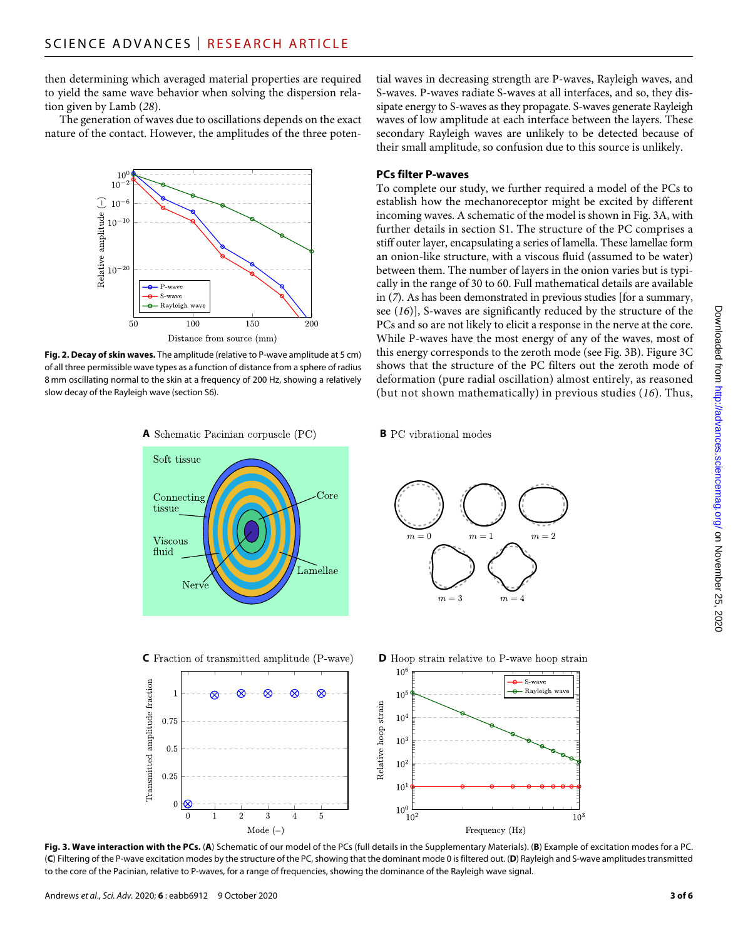then determining which averaged material properties are required to yield the same wave behavior when solving the dispersion relation given by Lamb (*28*).

The generation of waves due to oscillations depends on the exact nature of the contact. However, the amplitudes of the three poten-



**Fig. 2. Decay of skin waves.** The amplitude (relative to P-wave amplitude at 5 cm) of all three permissible wave types as a function of distance from a sphere of radius 8 mm oscillating normal to the skin at a frequency of 200 Hz, showing a relatively slow decay of the Rayleigh wave (section S6).

tial waves in decreasing strength are P-waves, Rayleigh waves, and S-waves. P-waves radiate S-waves at all interfaces, and so, they dissipate energy to S-waves as they propagate. S-waves generate Rayleigh waves of low amplitude at each interface between the layers. These secondary Rayleigh waves are unlikely to be detected because of their small amplitude, so confusion due to this source is unlikely.

#### **PCs filter P-waves**

To complete our study, we further required a model of the PCs to establish how the mechanoreceptor might be excited by different incoming waves. A schematic of the model is shown in Fig. 3A, with further details in section S1. The structure of the PC comprises a stiff outer layer, encapsulating a series of lamella. These lamellae form an onion-like structure, with a viscous fluid (assumed to be water) between them. The number of layers in the onion varies but is typically in the range of 30 to 60. Full mathematical details are available in (*7*). As has been demonstrated in previous studies [for a summary, see (*16*)], S-waves are significantly reduced by the structure of the PCs and so are not likely to elicit a response in the nerve at the core. While P-waves have the most energy of any of the waves, most of this energy corresponds to the zeroth mode (see Fig. 3B). Figure 3C shows that the structure of the PC filters out the zeroth mode of deformation (pure radial oscillation) almost entirely, as reasoned (but not shown mathematically) in previous studies (*16*). Thus,



Mode  $(-)$ 

**A** Schematic Pacinian corpuscle (PC) **B** PC vibrational modes





**Fig. 3. Wave interaction with the PCs.** (**A**) Schematic of our model of the PCs (full details in the Supplementary Materials). (**B**) Example of excitation modes for a PC. (**C**) Filtering of the P-wave excitation modes by the structure of the PC, showing that the dominant mode 0 is filtered out. (**D**) Rayleigh and S-wave amplitudes transmitted to the core of the Pacinian, relative to P-waves, for a range of frequencies, showing the dominance of the Rayleigh wave signal.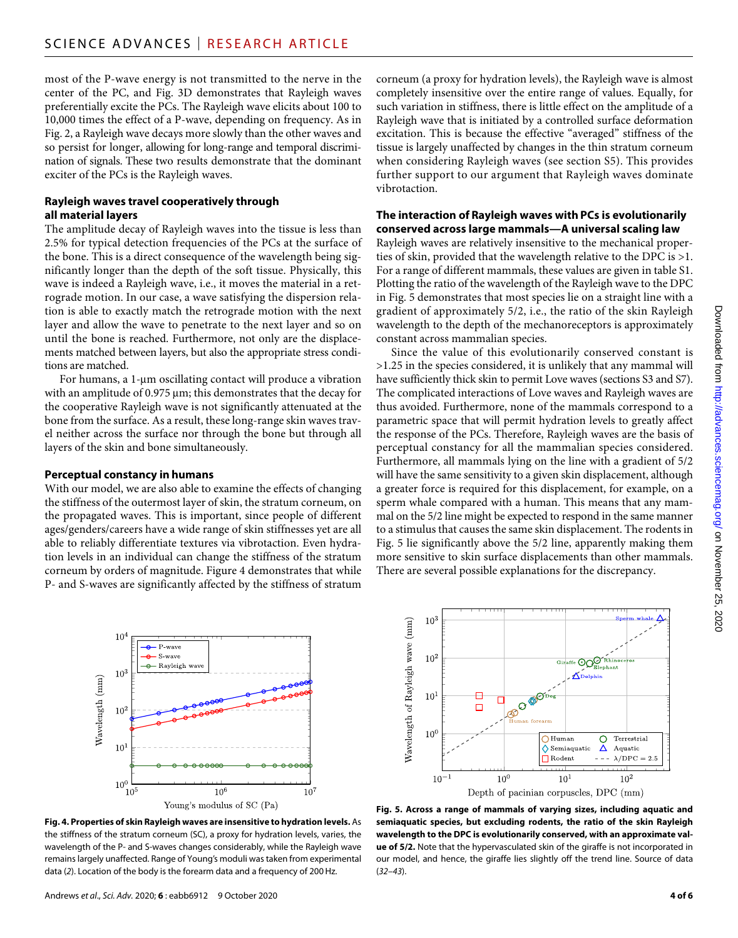most of the P-wave energy is not transmitted to the nerve in the center of the PC, and Fig. 3D demonstrates that Rayleigh waves preferentially excite the PCs. The Rayleigh wave elicits about 100 to 10,000 times the effect of a P-wave, depending on frequency. As in Fig. 2, a Rayleigh wave decays more slowly than the other waves and so persist for longer, allowing for long-range and temporal discrimination of signals. These two results demonstrate that the dominant exciter of the PCs is the Rayleigh waves.

#### **Rayleigh waves travel cooperatively through all material layers**

The amplitude decay of Rayleigh waves into the tissue is less than 2.5% for typical detection frequencies of the PCs at the surface of the bone. This is a direct consequence of the wavelength being significantly longer than the depth of the soft tissue. Physically, this wave is indeed a Rayleigh wave, i.e., it moves the material in a retrograde motion. In our case, a wave satisfying the dispersion relation is able to exactly match the retrograde motion with the next layer and allow the wave to penetrate to the next layer and so on until the bone is reached. Furthermore, not only are the displacements matched between layers, but also the appropriate stress conditions are matched.

For humans, a  $1$ - $\mu$ m oscillating contact will produce a vibration with an amplitude of  $0.975 \,\mathrm{\upmu m}$ ; this demonstrates that the decay for the cooperative Rayleigh wave is not significantly attenuated at the bone from the surface. As a result, these long-range skin waves travel neither across the surface nor through the bone but through all layers of the skin and bone simultaneously.

#### **Perceptual constancy in humans**

With our model, we are also able to examine the effects of changing the stiffness of the outermost layer of skin, the stratum corneum, on the propagated waves. This is important, since people of different ages/genders/careers have a wide range of skin stiffnesses yet are all able to reliably differentiate textures via vibrotaction. Even hydration levels in an individual can change the stiffness of the stratum corneum by orders of magnitude. Figure 4 demonstrates that while P- and S-waves are significantly affected by the stiffness of stratum

corneum (a proxy for hydration levels), the Rayleigh wave is almost completely insensitive over the entire range of values. Equally, for such variation in stiffness, there is little effect on the amplitude of a Rayleigh wave that is initiated by a controlled surface deformation excitation. This is because the effective "averaged" stiffness of the tissue is largely unaffected by changes in the thin stratum corneum when considering Rayleigh waves (see section S5). This provides further support to our argument that Rayleigh waves dominate vibrotaction.

#### **The interaction of Rayleigh waves with PCs is evolutionarily conserved across large mammals—A universal scaling law**

Rayleigh waves are relatively insensitive to the mechanical properties of skin, provided that the wavelength relative to the DPC is >1. For a range of different mammals, these values are given in table S1. Plotting the ratio of the wavelength of the Rayleigh wave to the DPC in Fig. 5 demonstrates that most species lie on a straight line with a gradient of approximately 5/2, i.e., the ratio of the skin Rayleigh wavelength to the depth of the mechanoreceptors is approximately constant across mammalian species.

Since the value of this evolutionarily conserved constant is >1.25 in the species considered, it is unlikely that any mammal will have sufficiently thick skin to permit Love waves (sections S3 and S7). The complicated interactions of Love waves and Rayleigh waves are thus avoided. Furthermore, none of the mammals correspond to a parametric space that will permit hydration levels to greatly affect the response of the PCs. Therefore, Rayleigh waves are the basis of perceptual constancy for all the mammalian species considered. Furthermore, all mammals lying on the line with a gradient of 5/2 will have the same sensitivity to a given skin displacement, although a greater force is required for this displacement, for example, on a sperm whale compared with a human. This means that any mammal on the 5/2 line might be expected to respond in the same manner to a stimulus that causes the same skin displacement. The rodents in Fig. 5 lie significantly above the 5/2 line, apparently making them more sensitive to skin surface displacements than other mammals. There are several possible explanations for the discrepancy.







**Fig. 5. Across a range of mammals of varying sizes, including aquatic and semiaquatic species, but excluding rodents, the ratio of the skin Rayleigh wavelength to the DPC is evolutionarily conserved, with an approximate value of 5/2.** Note that the hypervasculated skin of the giraffe is not incorporated in our model, and hence, the giraffe lies slightly off the trend line. Source of data (*32*–*43*).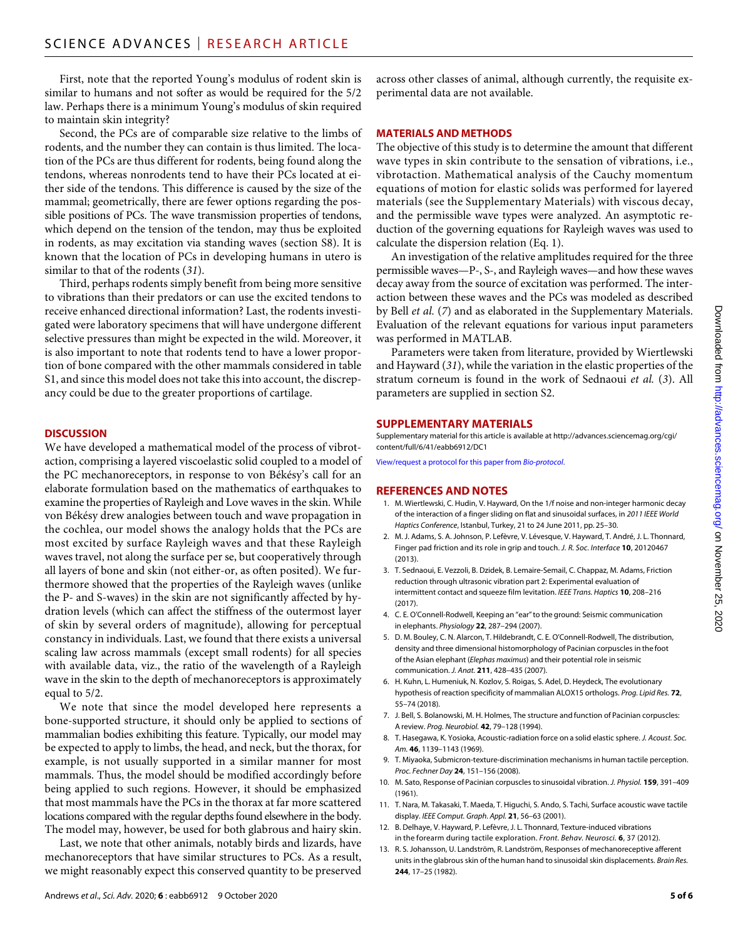First, note that the reported Young's modulus of rodent skin is similar to humans and not softer as would be required for the 5/2 law. Perhaps there is a minimum Young's modulus of skin required to maintain skin integrity?

Second, the PCs are of comparable size relative to the limbs of rodents, and the number they can contain is thus limited. The location of the PCs are thus different for rodents, being found along the tendons, whereas nonrodents tend to have their PCs located at either side of the tendons. This difference is caused by the size of the mammal; geometrically, there are fewer options regarding the possible positions of PCs. The wave transmission properties of tendons, which depend on the tension of the tendon, may thus be exploited in rodents, as may excitation via standing waves (section S8). It is known that the location of PCs in developing humans in utero is similar to that of the rodents (*31*).

Third, perhaps rodents simply benefit from being more sensitive to vibrations than their predators or can use the excited tendons to receive enhanced directional information? Last, the rodents investigated were laboratory specimens that will have undergone different selective pressures than might be expected in the wild. Moreover, it is also important to note that rodents tend to have a lower proportion of bone compared with the other mammals considered in table S1, and since this model does not take this into account, the discrepancy could be due to the greater proportions of cartilage.

#### **DISCUSSION**

We have developed a mathematical model of the process of vibrotaction, comprising a layered viscoelastic solid coupled to a model of the PC mechanoreceptors, in response to von Békésy's call for an elaborate formulation based on the mathematics of earthquakes to examine the properties of Rayleigh and Love waves in the skin. While von Békésy drew analogies between touch and wave propagation in the cochlea, our model shows the analogy holds that the PCs are most excited by surface Rayleigh waves and that these Rayleigh waves travel, not along the surface per se, but cooperatively through all layers of bone and skin (not either-or, as often posited). We furthermore showed that the properties of the Rayleigh waves (unlike the P- and S-waves) in the skin are not significantly affected by hydration levels (which can affect the stiffness of the outermost layer of skin by several orders of magnitude), allowing for perceptual constancy in individuals. Last, we found that there exists a universal scaling law across mammals (except small rodents) for all species with available data, viz., the ratio of the wavelength of a Rayleigh wave in the skin to the depth of mechanoreceptors is approximately equal to 5/2.

We note that since the model developed here represents a bone-supported structure, it should only be applied to sections of mammalian bodies exhibiting this feature. Typically, our model may be expected to apply to limbs, the head, and neck, but the thorax, for example, is not usually supported in a similar manner for most mammals. Thus, the model should be modified accordingly before being applied to such regions. However, it should be emphasized that most mammals have the PCs in the thorax at far more scattered locations compared with the regular depths found elsewhere in the body. The model may, however, be used for both glabrous and hairy skin.

Last, we note that other animals, notably birds and lizards, have mechanoreceptors that have similar structures to PCs. As a result, we might reasonably expect this conserved quantity to be preserved

across other classes of animal, although currently, the requisite experimental data are not available.

#### **MATERIALS AND METHODS**

The objective of this study is to determine the amount that different wave types in skin contribute to the sensation of vibrations, i.e., vibrotaction. Mathematical analysis of the Cauchy momentum equations of motion for elastic solids was performed for layered materials (see the Supplementary Materials) with viscous decay, and the permissible wave types were analyzed. An asymptotic reduction of the governing equations for Rayleigh waves was used to calculate the dispersion relation (Eq. 1).

An investigation of the relative amplitudes required for the three permissible waves—P-, S-, and Rayleigh waves—and how these waves decay away from the source of excitation was performed. The interaction between these waves and the PCs was modeled as described by Bell *et al.* (*7*) and as elaborated in the Supplementary Materials. Evaluation of the relevant equations for various input parameters was performed in MATLAB.

Parameters were taken from literature, provided by Wiertlewski and Hayward (*31*), while the variation in the elastic properties of the stratum corneum is found in the work of Sednaoui *et al.* (*3*). All parameters are supplied in section S2.

#### **SUPPLEMENTARY MATERIALS**

Supplementary material for this article is available at [http://advances.sciencemag.org/cgi/](http://advances.sciencemag.org/cgi/content/full/6/41/eabb6912/DC1) [content/full/6/41/eabb6912/DC1](http://advances.sciencemag.org/cgi/content/full/6/41/eabb6912/DC1)

[View/request a protocol for this paper from](https://en.bio-protocol.org/cjrap.aspx?eid=10.1126/sciadv.abb6912) *Bio-protocol*.

#### **REFERENCES AND NOTES**

- 1. M. Wiertlewski, C. Hudin, V. Hayward, On the 1/f noise and non-integer harmonic decay of the interaction of a finger sliding on flat and sinusoidal surfaces, in *2011 IEEE World Haptics Conference*, Istanbul, Turkey, 21 to 24 June 2011, pp. 25–30.
- 2. M. J. Adams, S. A. Johnson, P. Lefèvre, V. Lévesque, V. Hayward, T. André, J. L. Thonnard, Finger pad friction and its role in grip and touch. *J. R. Soc. Interface* **10**, 20120467 (2013).
- 3. T. Sednaoui, E. Vezzoli, B. Dzidek, B. Lemaire-Semail, C. Chappaz, M. Adams, Friction reduction through ultrasonic vibration part 2: Experimental evaluation of intermittent contact and squeeze film levitation. *IEEE Trans. Haptics* **10**, 208–216 (2017).
- 4. C. E. O'Connell-Rodwell, Keeping an "ear" to the ground: Seismic communication in elephants. *Physiology* **22**, 287–294 (2007).
- 5. D. M. Bouley, C. N. Alarcon, T. Hildebrandt, C. E. O'Connell-Rodwell, The distribution, density and three dimensional histomorphology of Pacinian corpuscles in the foot of the Asian elephant (*Elephas maximus*) and their potential role in seismic communication. *J. Anat.* **211**, 428–435 (2007).
- 6. H. Kuhn, L. Humeniuk, N. Kozlov, S. Roigas, S. Adel, D. Heydeck, The evolutionary hypothesis of reaction specificity of mammalian ALOX15 orthologs. *Prog. Lipid Res.* **72**, 55–74 (2018).
- 7. J. Bell, S. Bolanowski, M. H. Holmes, The structure and function of Pacinian corpuscles: A review. *Prog. Neurobiol.* **42**, 79–128 (1994).
- 8. T. Hasegawa, K. Yosioka, Acoustic-radiation force on a solid elastic sphere. *J. Acoust. Soc. Am.* **46**, 1139–1143 (1969).
- 9. T. Miyaoka, Submicron-texture-discrimination mechanisms in human tactile perception. *Proc. Fechner Day* **24**, 151–156 (2008).
- 10. M. Sato, Response of Pacinian corpuscles to sinusoidal vibration. *J. Physiol.* **159**, 391–409 (1961).
- 11. T. Nara, M. Takasaki, T. Maeda, T. Higuchi, S. Ando, S. Tachi, Surface acoustic wave tactile display. *IEEE Comput. Graph. Appl.* **21**, 56–63 (2001).
- 12. B. Delhaye, V. Hayward, P. Lefèvre, J. L. Thonnard, Texture-induced vibrations in the forearm during tactile exploration. *Front. Behav. Neurosci.* **6**, 37 (2012).
- 13. R. S. Johansson, U. Landström, R. Landström, Responses of mechanoreceptive afferent units in the glabrous skin of the human hand to sinusoidal skin displacements. *Brain Res.* **244**, 17–25 (1982).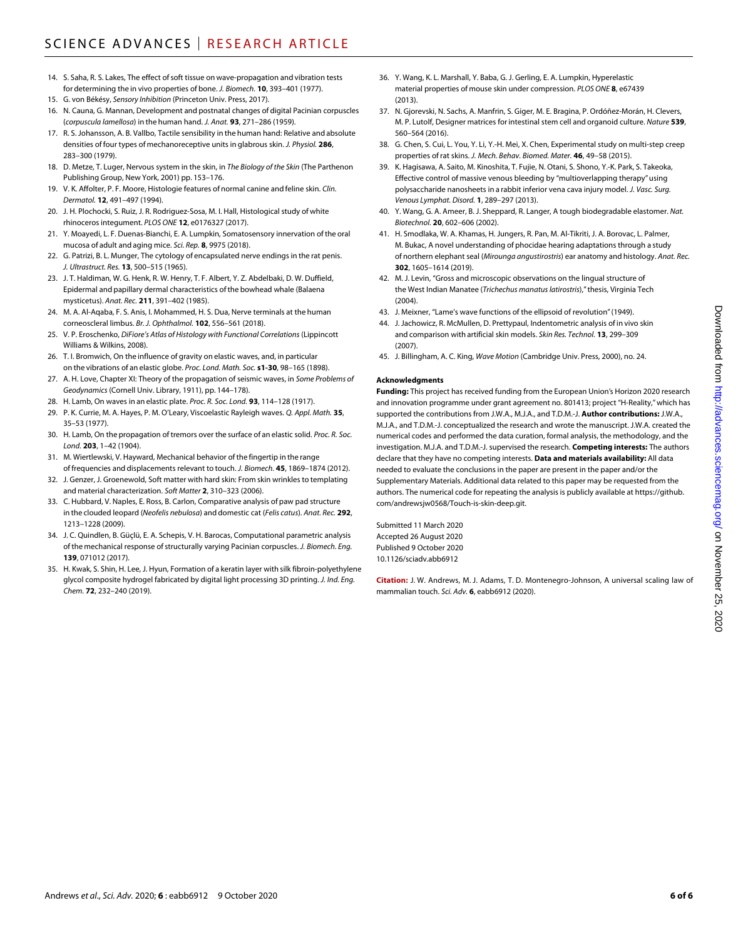- 14. S. Saha, R. S. Lakes, The effect of soft tissue on wave-propagation and vibration tests for determining the in vivo properties of bone. *J. Biomech.* **10**, 393–401 (1977).
- 15. G. von Békésy, *Sensory Inhibition* (Princeton Univ. Press, 2017).
- 16. N. Cauna, G. Mannan, Development and postnatal changes of digital Pacinian corpuscles (*corpuscula lamellosa*) in the human hand. *J. Anat.* **93**, 271–286 (1959).
- 17. R. S. Johansson, A. B. Vallbo, Tactile sensibility in the human hand: Relative and absolute densities of four types of mechanoreceptive units in glabrous skin. *J. Physiol.* **286**, 283–300 (1979).
- 18. D. Metze, T. Luger, Nervous system in the skin, in *The Biology of the Skin* (The Parthenon Publishing Group, New York, 2001) pp. 153–176.
- 19. V. K. Affolter, P. F. Moore, Histologie features of normal canine and feline skin. *Clin. Dermatol.* **12**, 491–497 (1994).
- 20. J. H. Plochocki, S. Ruiz, J. R. Rodriguez-Sosa, M. I. Hall, Histological study of white rhinoceros integument. *PLOS ONE* **12**, e0176327 (2017).
- 21. Y. Moayedi, L. F. Duenas-Bianchi, E. A. Lumpkin, Somatosensory innervation of the oral mucosa of adult and aging mice. *Sci. Rep.* **8**, 9975 (2018).
- 22. G. Patrizi, B. L. Munger, The cytology of encapsulated nerve endings in the rat penis. *J. Ultrastruct. Res.* **13**, 500–515 (1965).
- 23. J. T. Haldiman, W. G. Henk, R. W. Henry, T. F. Albert, Y. Z. Abdelbaki, D. W. Duffield, Epidermal and papillary dermal characteristics of the bowhead whale (Balaena mysticetus). *Anat. Rec.* **211**, 391–402 (1985).
- 24. M. A. Al-Aqaba, F. S. Anis, I. Mohammed, H. S. Dua, Nerve terminals at the human corneoscleral limbus. *Br. J. Ophthalmol.* **102**, 556–561 (2018).
- 25. V. P. Eroschenko, *DiFiore's Atlas of Histology with Functional Correlations* (Lippincott Williams & Wilkins, 2008).
- 26. T. I. Bromwich, On the influence of gravity on elastic waves, and, in particular on the vibrations of an elastic globe. *Proc. Lond. Math. Soc.* **s1-30**, 98–165 (1898).
- 27. A. H. Love, Chapter XI: Theory of the propagation of seismic waves, in *Some Problems of Geodynamics* (Cornell Univ. Library, 1911), pp. 144–178).
- 28. H. Lamb, On waves in an elastic plate. *Proc. R. Soc. Lond.* **93**, 114–128 (1917).
- 29. P. K. Currie, M. A. Hayes, P. M. O'Leary, Viscoelastic Rayleigh waves. *Q. Appl. Math.* **35**, 35–53 (1977).
- 30. H. Lamb, On the propagation of tremors over the surface of an elastic solid. *Proc. R. Soc. Lond.* **203**, 1–42 (1904).
- 31. M. Wiertlewski, V. Hayward, Mechanical behavior of the fingertip in the range of frequencies and displacements relevant to touch. *J. Biomech.* **45**, 1869–1874 (2012).
- 32. J. Genzer, J. Groenewold, Soft matter with hard skin: From skin wrinkles to templating and material characterization. *Soft Matter* **2**, 310–323 (2006).
- 33. C. Hubbard, V. Naples, E. Ross, B. Carlon, Comparative analysis of paw pad structure in the clouded leopard (*Neofelis nebulosa*) and domestic cat (*Felis catus*). *Anat. Rec.* **292**, 1213–1228 (2009).
- 34. J. C. Quindlen, B. Güçlü, E. A. Schepis, V. H. Barocas, Computational parametric analysis of the mechanical response of structurally varying Pacinian corpuscles. *J. Biomech. Eng.* **139**, 071012 (2017).
- 35. H. Kwak, S. Shin, H. Lee, J. Hyun, Formation of a keratin layer with silk fibroin-polyethylene glycol composite hydrogel fabricated by digital light processing 3D printing. *J. Ind. Eng. Chem.* **72**, 232–240 (2019).
- 36. Y. Wang, K. L. Marshall, Y. Baba, G. J. Gerling, E. A. Lumpkin, Hyperelastic material properties of mouse skin under compression. *PLOS ONE* **8**, e67439 (2013).
- 37. N. Gjorevski, N. Sachs, A. Manfrin, S. Giger, M. E. Bragina, P. Ordóñez-Morán, H. Clevers, M. P. Lutolf, Designer matrices for intestinal stem cell and organoid culture. *Nature* **539**, 560–564 (2016).
- 38. G. Chen, S. Cui, L. You, Y. Li, Y.-H. Mei, X. Chen, Experimental study on multi-step creep properties of rat skins. *J. Mech. Behav. Biomed. Mater.* **46**, 49–58 (2015).
- 39. K. Hagisawa, A. Saito, M. Kinoshita, T. Fujie, N. Otani, S. Shono, Y.-K. Park, S. Takeoka, Effective control of massive venous bleeding by "multioverlapping therapy" using polysaccharide nanosheets in a rabbit inferior vena cava injury model. *J. Vasc. Surg. Venous Lymphat. Disord.* **1**, 289–297 (2013).
- 40. Y. Wang, G. A. Ameer, B. J. Sheppard, R. Langer, A tough biodegradable elastomer. *Nat. Biotechnol.* **20**, 602–606 (2002).
- 41. H. Smodlaka, W. A. Khamas, H. Jungers, R. Pan, M. Al-Tikriti, J. A. Borovac, L. Palmer, M. Bukac, A novel understanding of phocidae hearing adaptations through a study of northern elephant seal (*Mirounga angustirostris*) ear anatomy and histology. *Anat. Rec.* **302**, 1605–1614 (2019).
- 42. M. J. Levin, "Gross and microscopic observations on the lingual structure of the West Indian Manatee (*Trichechus manatus latirostris*)," thesis, Virginia Tech  $(2004)$
- 43. J. Meixner, "Lame's wave functions of the ellipsoid of revolution" (1949).
- 44. J. Jachowicz, R. McMullen, D. Prettypaul, Indentometric analysis of in vivo skin and comparison with artificial skin models. *Skin Res. Technol.* **13**, 299–309 (2007).
- 45. J. Billingham, A. C. King, *Wave Motion* (Cambridge Univ. Press, 2000), no. 24.

#### **Acknowledgments**

**Funding:** This project has received funding from the European Union's Horizon 2020 research and innovation programme under grant agreement no. 801413; project "H-Reality," which has supported the contributions from J.W.A., M.J.A., and T.D.M.-J. **Author contributions:** J.W.A., M.J.A., and T.D.M.-J. conceptualized the research and wrote the manuscript. J.W.A. created the numerical codes and performed the data curation, formal analysis, the methodology, and the investigation. M.J.A. and T.D.M.-J. supervised the research. **Competing interests:** The authors declare that they have no competing interests. **Data and materials availability:** All data needed to evaluate the conclusions in the paper are present in the paper and/or the Supplementary Materials. Additional data related to this paper may be requested from the authors. The numerical code for repeating the analysis is publicly available at [https://github.](https://github.com/andrewsjw0568/Touch-is-skin-deep.git) [com/andrewsjw0568/Touch-is-skin-deep.git](https://github.com/andrewsjw0568/Touch-is-skin-deep.git).

Submitted 11 March 2020 Accepted 26 August 2020 Published 9 October 2020 10.1126/sciadv.abb6912

**Citation:** J. W. Andrews, M. J. Adams, T. D. Montenegro-Johnson, A universal scaling law of mammalian touch. *Sci. Adv.* **6**, eabb6912 (2020).